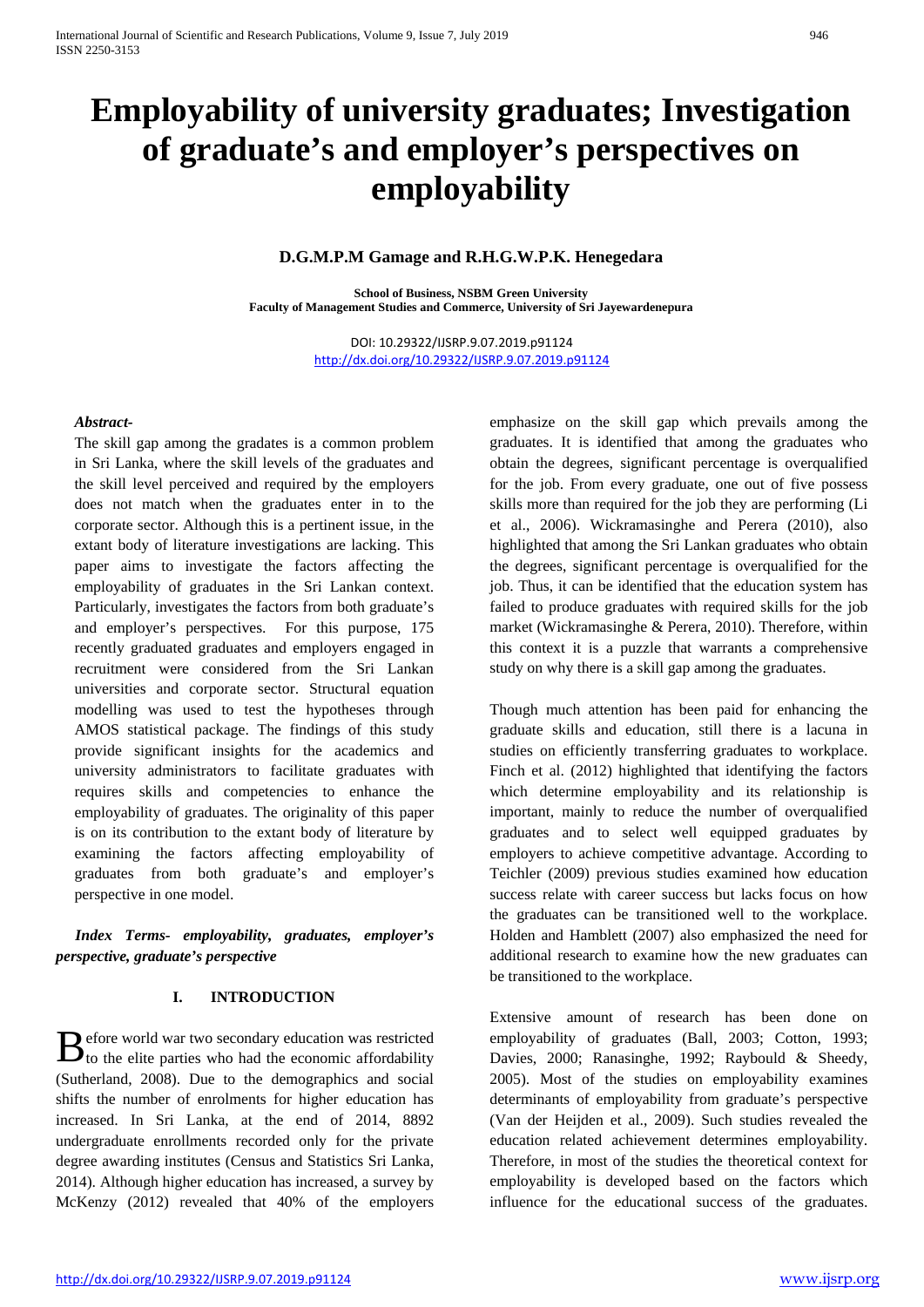# **Employability of university graduates; Investigation of graduate's and employer's perspectives on employability**

# **D.G.M.P.M Gamage and R.H.G.W.P.K. Henegedara**

**School of Business, NSBM Green University Faculty of Management Studies and Commerce, University of Sri Jayewardenepura**

> DOI: 10.29322/IJSRP.9.07.2019.p91124 <http://dx.doi.org/10.29322/IJSRP.9.07.2019.p91124>

## *Abstract-*

The skill gap among the gradates is a common problem in Sri Lanka, where the skill levels of the graduates and the skill level perceived and required by the employers does not match when the graduates enter in to the corporate sector. Although this is a pertinent issue, in the extant body of literature investigations are lacking. This paper aims to investigate the factors affecting the employability of graduates in the Sri Lankan context. Particularly, investigates the factors from both graduate's and employer's perspectives. For this purpose, 175 recently graduated graduates and employers engaged in recruitment were considered from the Sri Lankan universities and corporate sector. Structural equation modelling was used to test the hypotheses through AMOS statistical package. The findings of this study provide significant insights for the academics and university administrators to facilitate graduates with requires skills and competencies to enhance the employability of graduates. The originality of this paper is on its contribution to the extant body of literature by examining the factors affecting employability of graduates from both graduate's and employer's perspective in one model.

 *Index Terms- employability, graduates, employer's perspective, graduate's perspective*

# **I. INTRODUCTION**

efore world war two secondary education was restricted  $\mathbf{B}$  efore world war two secondary education was restricted to the elite parties who had the economic affordability (Sutherland, 2008). Due to the demographics and social shifts the number of enrolments for higher education has increased. In Sri Lanka, at the end of 2014, 8892 undergraduate enrollments recorded only for the private degree awarding institutes (Census and Statistics Sri Lanka, 2014). Although higher education has increased, a survey by McKenzy (2012) revealed that 40% of the employers

emphasize on the skill gap which prevails among the graduates. It is identified that among the graduates who obtain the degrees, significant percentage is overqualified for the job. From every graduate, one out of five possess skills more than required for the job they are performing (Li et al., 2006). Wickramasinghe and Perera (2010), also highlighted that among the Sri Lankan graduates who obtain the degrees, significant percentage is overqualified for the job. Thus, it can be identified that the education system has failed to produce graduates with required skills for the job market (Wickramasinghe & Perera, 2010). Therefore, within this context it is a puzzle that warrants a comprehensive study on why there is a skill gap among the graduates.

Though much attention has been paid for enhancing the graduate skills and education, still there is a lacuna in studies on efficiently transferring graduates to workplace. Finch et al. (2012) highlighted that identifying the factors which determine employability and its relationship is important, mainly to reduce the number of overqualified graduates and to select well equipped graduates by employers to achieve competitive advantage. According to Teichler (2009) previous studies examined how education success relate with career success but lacks focus on how the graduates can be transitioned well to the workplace. Holden and Hamblett (2007) also emphasized the need for additional research to examine how the new graduates can be transitioned to the workplace.

Extensive amount of research has been done on employability of graduates (Ball, 2003; Cotton, 1993; Davies, 2000; Ranasinghe, 1992; Raybould & Sheedy, 2005). Most of the studies on employability examines determinants of employability from graduate's perspective (Van der Heijden et al., 2009). Such studies revealed the education related achievement determines employability. Therefore, in most of the studies the theoretical context for employability is developed based on the factors which influence for the educational success of the graduates.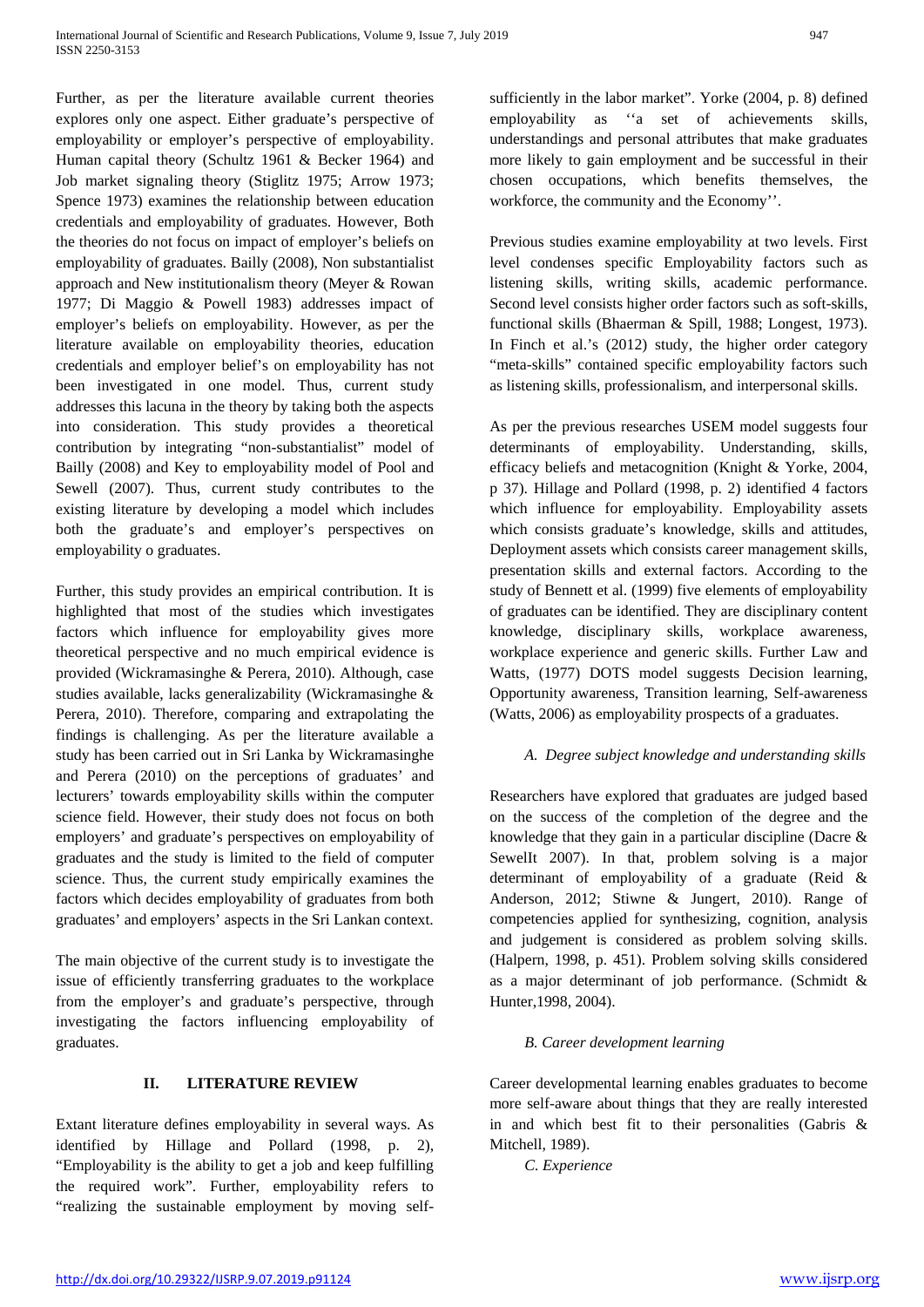Further, as per the literature available current theories explores only one aspect. Either graduate's perspective of employability or employer's perspective of employability. Human capital theory (Schultz 1961 & Becker 1964) and Job market signaling theory (Stiglitz 1975; Arrow 1973; Spence 1973) examines the relationship between education credentials and employability of graduates. However, Both the theories do not focus on impact of employer's beliefs on employability of graduates. Bailly (2008), Non substantialist approach and New institutionalism theory (Meyer & Rowan 1977; Di Maggio & Powell 1983) addresses impact of employer's beliefs on employability. However, as per the literature available on employability theories, education credentials and employer belief's on employability has not been investigated in one model. Thus, current study addresses this lacuna in the theory by taking both the aspects into consideration. This study provides a theoretical contribution by integrating "non-substantialist" model of Bailly (2008) and Key to employability model of Pool and Sewell (2007). Thus, current study contributes to the existing literature by developing a model which includes both the graduate's and employer's perspectives on employability o graduates.

Further, this study provides an empirical contribution. It is highlighted that most of the studies which investigates factors which influence for employability gives more theoretical perspective and no much empirical evidence is provided (Wickramasinghe & Perera, 2010). Although, case studies available, lacks generalizability (Wickramasinghe & Perera, 2010). Therefore, comparing and extrapolating the findings is challenging. As per the literature available a study has been carried out in Sri Lanka by Wickramasinghe and Perera (2010) on the perceptions of graduates' and lecturers' towards employability skills within the computer science field. However, their study does not focus on both employers' and graduate's perspectives on employability of graduates and the study is limited to the field of computer science. Thus, the current study empirically examines the factors which decides employability of graduates from both graduates' and employers' aspects in the Sri Lankan context.

The main objective of the current study is to investigate the issue of efficiently transferring graduates to the workplace from the employer's and graduate's perspective, through investigating the factors influencing employability of graduates.

# **II. LITERATURE REVIEW**

Extant literature defines employability in several ways. As identified by Hillage and Pollard (1998, p. 2), "Employability is the ability to get a job and keep fulfilling the required work". Further, employability refers to "realizing the sustainable employment by moving selfsufficiently in the labor market". Yorke (2004, p. 8) defined employability as ''a set of achievements skills, understandings and personal attributes that make graduates more likely to gain employment and be successful in their chosen occupations, which benefits themselves, the workforce, the community and the Economy''.

Previous studies examine employability at two levels. First level condenses specific Employability factors such as listening skills, writing skills, academic performance. Second level consists higher order factors such as soft-skills, functional skills (Bhaerman & Spill, 1988; Longest, 1973). In Finch et al.'s (2012) study, the higher order category "meta-skills" contained specific employability factors such as listening skills, professionalism, and interpersonal skills.

As per the previous researches USEM model suggests four determinants of employability. Understanding, skills, efficacy beliefs and metacognition (Knight & Yorke, 2004, p 37). Hillage and Pollard (1998, p. 2) identified 4 factors which influence for employability. Employability assets which consists graduate's knowledge, skills and attitudes, Deployment assets which consists career management skills, presentation skills and external factors. According to the study of Bennett et al. (1999) five elements of employability of graduates can be identified. They are disciplinary content knowledge, disciplinary skills, workplace awareness, workplace experience and generic skills. Further Law and Watts, (1977) DOTS model suggests Decision learning, Opportunity awareness, Transition learning, Self-awareness (Watts, 2006) as employability prospects of a graduates.

## *A. Degree subject knowledge and understanding skills*

Researchers have explored that graduates are judged based on the success of the completion of the degree and the knowledge that they gain in a particular discipline (Dacre & SewelIt 2007). In that, problem solving is a major determinant of employability of a graduate (Reid & Anderson, 2012; Stiwne & Jungert, 2010). Range of competencies applied for synthesizing, cognition, analysis and judgement is considered as problem solving skills. (Halpern, 1998, p. 451). Problem solving skills considered as a major determinant of job performance. (Schmidt & Hunter,1998, 2004).

## *B. Career development learning*

Career developmental learning enables graduates to become more self-aware about things that they are really interested in and which best fit to their personalities (Gabris & Mitchell, 1989).

*C. Experience*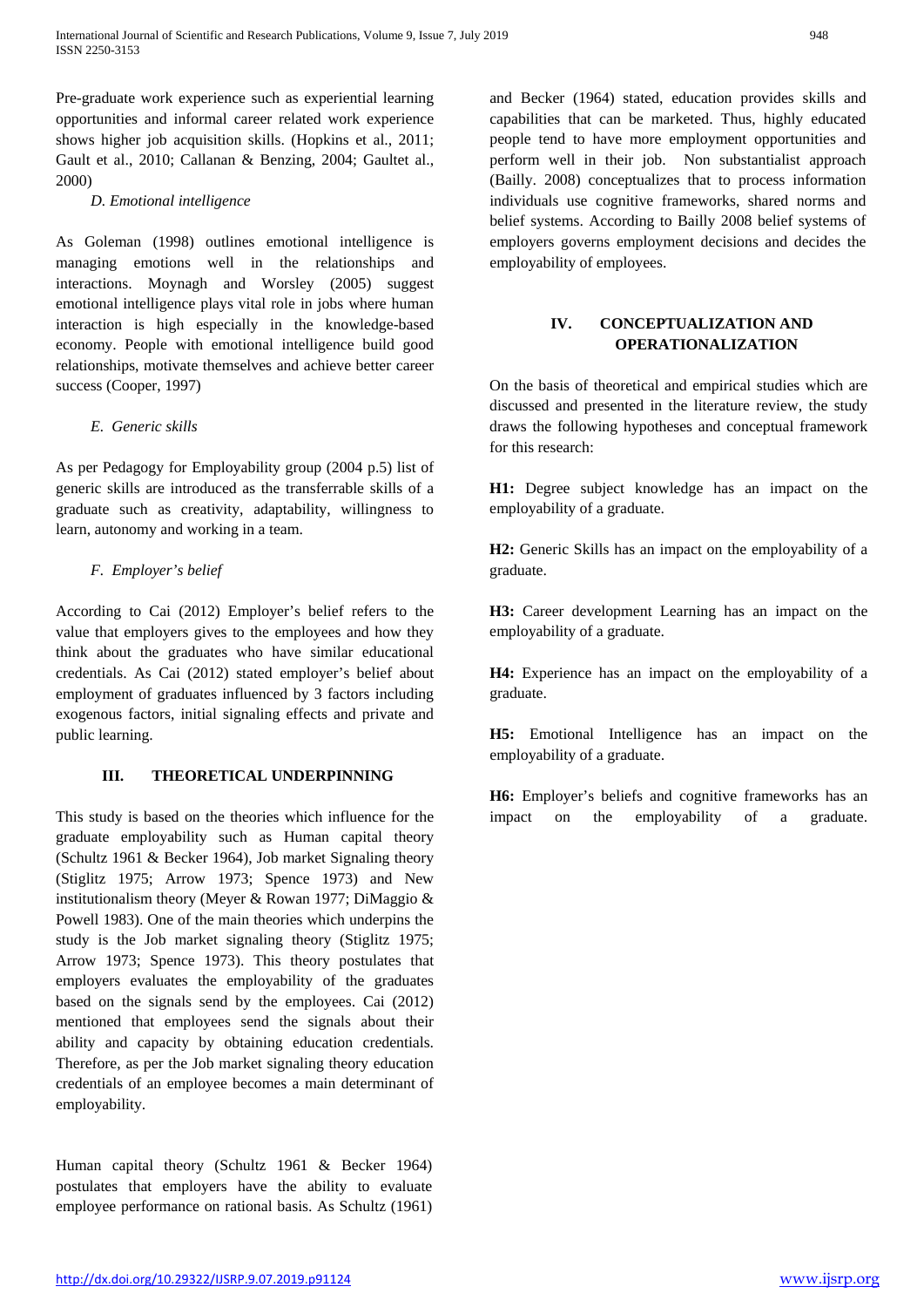Pre-graduate work experience such as experiential learning opportunities and informal career related work experience shows higher job acquisition skills. (Hopkins et al., 2011; Gault et al., 2010; Callanan & Benzing, 2004; Gaultet al., 2000)

*D. Emotional intelligence*

As Goleman (1998) outlines emotional intelligence is managing emotions well in the relationships and interactions. Moynagh and Worsley (2005) suggest emotional intelligence plays vital role in jobs where human interaction is high especially in the knowledge-based economy. People with emotional intelligence build good relationships, motivate themselves and achieve better career success (Cooper, 1997)

# *E. Generic skills*

As per Pedagogy for Employability group (2004 p.5) list of generic skills are introduced as the transferrable skills of a graduate such as creativity, adaptability, willingness to learn, autonomy and working in a team.

# *F. Employer's belief*

According to Cai (2012) Employer's belief refers to the value that employers gives to the employees and how they think about the graduates who have similar educational credentials. As Cai (2012) stated employer's belief about employment of graduates influenced by 3 factors including exogenous factors, initial signaling effects and private and public learning.

# **III. THEORETICAL UNDERPINNING**

This study is based on the theories which influence for the graduate employability such as Human capital theory (Schultz 1961 & Becker 1964), Job market Signaling theory (Stiglitz 1975; Arrow 1973; Spence 1973) and New institutionalism theory (Meyer & Rowan 1977; DiMaggio & Powell 1983). One of the main theories which underpins the study is the Job market signaling theory (Stiglitz 1975; Arrow 1973; Spence 1973). This theory postulates that employers evaluates the employability of the graduates based on the signals send by the employees. Cai (2012) mentioned that employees send the signals about their ability and capacity by obtaining education credentials. Therefore, as per the Job market signaling theory education credentials of an employee becomes a main determinant of employability.

Human capital theory (Schultz 1961 & Becker 1964) postulates that employers have the ability to evaluate employee performance on rational basis. As Schultz (1961)

and Becker (1964) stated, education provides skills and capabilities that can be marketed. Thus, highly educated people tend to have more employment opportunities and perform well in their job. Non substantialist approach (Bailly. 2008) conceptualizes that to process information individuals use cognitive frameworks, shared norms and belief systems. According to Bailly 2008 belief systems of employers governs employment decisions and decides the employability of employees.

# **IV. CONCEPTUALIZATION AND OPERATIONALIZATION**

On the basis of theoretical and empirical studies which are discussed and presented in the literature review, the study draws the following hypotheses and conceptual framework for this research:

**H1:** Degree subject knowledge has an impact on the employability of a graduate.

**H2:** Generic Skills has an impact on the employability of a graduate.

**H3:** Career development Learning has an impact on the employability of a graduate.

**H4:** Experience has an impact on the employability of a graduate.

**H5:** Emotional Intelligence has an impact on the employability of a graduate.

**H6:** Employer's beliefs and cognitive frameworks has an impact on the employability of a graduate.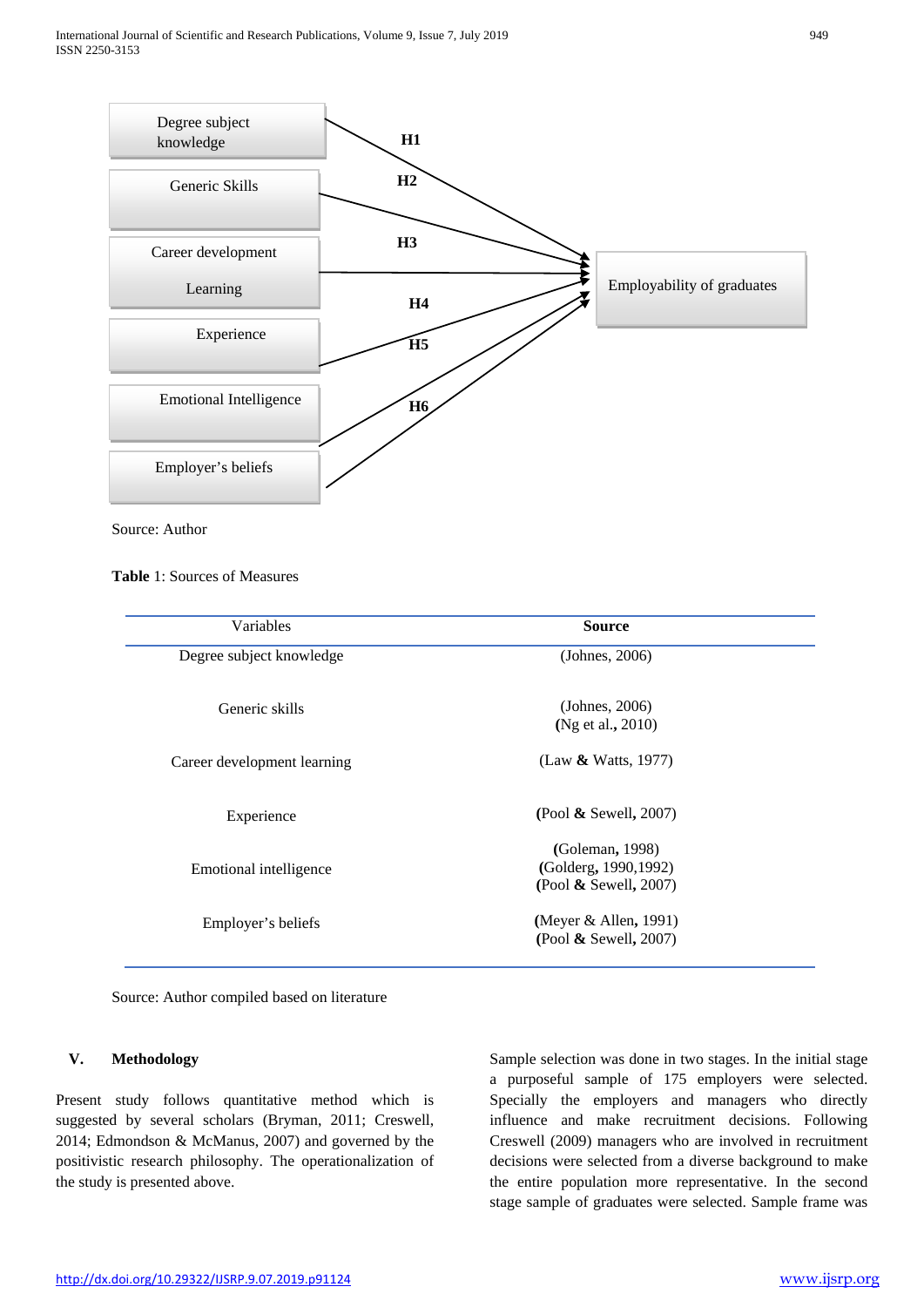

Source: Author

## **Table** 1: Sources of Measures

| Variables                   | <b>Source</b>                                                        |  |
|-----------------------------|----------------------------------------------------------------------|--|
| Degree subject knowledge    | (Johnes, 2006)                                                       |  |
| Generic skills              | (Johnes, 2006)<br>(Ng et al., 2010)                                  |  |
| Career development learning | (Law & Watts, 1977)                                                  |  |
| Experience                  | (Pool & Sewell, 2007)                                                |  |
| Emotional intelligence      | (Goleman, 1998)<br>(Golderg, 1990, 1992)<br>(Pool $\&$ Sewell, 2007) |  |
| Employer's beliefs          | (Meyer $&$ Allen, 1991)<br>(Pool $\&$ Sewell, 2007)                  |  |

Source: Author compiled based on literature

## **V. Methodology**

Present study follows quantitative method which is suggested by several scholars (Bryman, 2011; Creswell, 2014; Edmondson & McManus, 2007) and governed by the positivistic research philosophy. The operationalization of the study is presented above.

Sample selection was done in two stages. In the initial stage a purposeful sample of 175 employers were selected. Specially the employers and managers who directly influence and make recruitment decisions. Following Creswell (2009) managers who are involved in recruitment decisions were selected from a diverse background to make the entire population more representative. In the second stage sample of graduates were selected. Sample frame was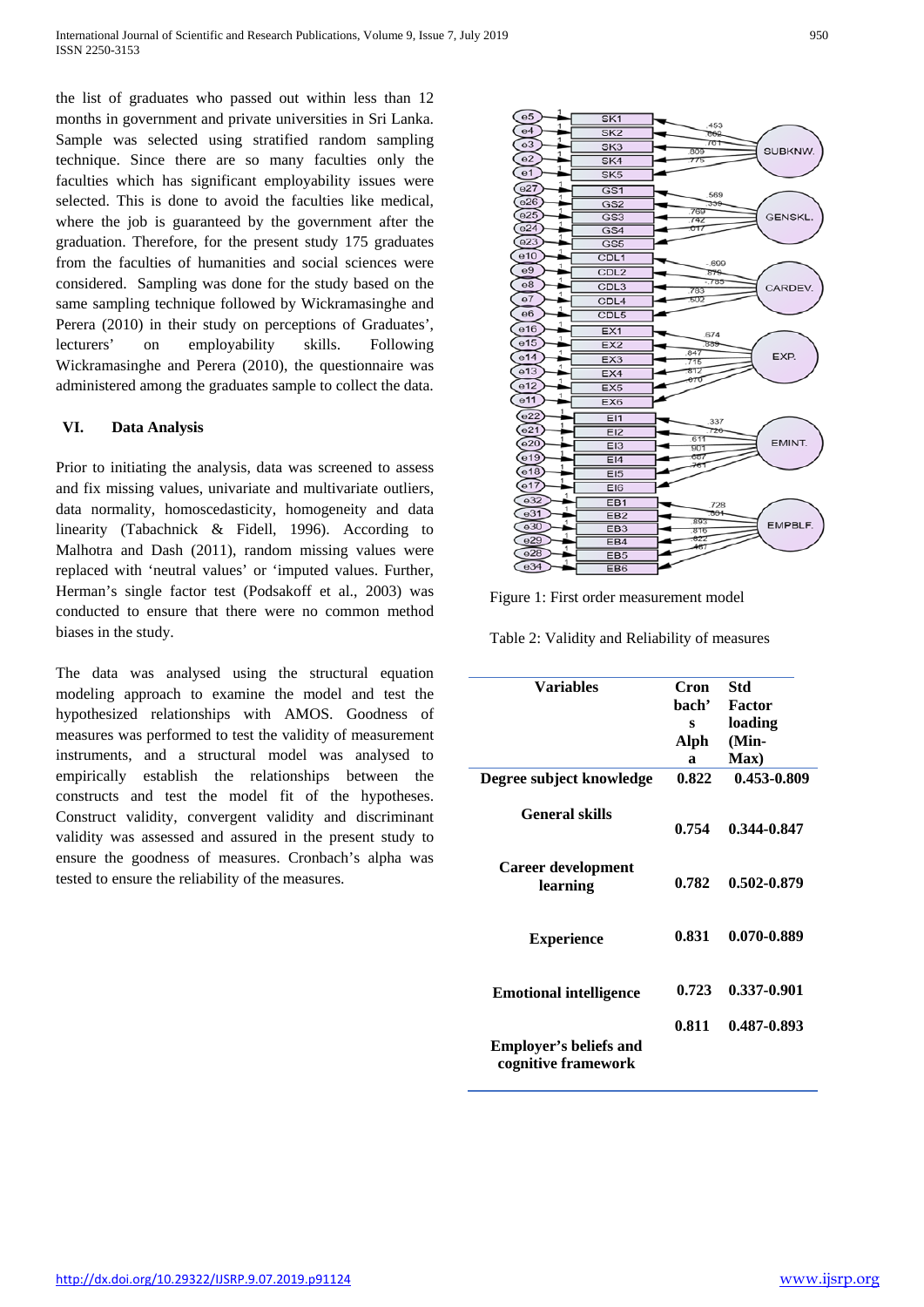the list of graduates who passed out within less than 12 months in government and private universities in Sri Lanka. Sample was selected using stratified random sampling technique. Since there are so many faculties only the faculties which has significant employability issues were selected. This is done to avoid the faculties like medical, where the job is guaranteed by the government after the graduation. Therefore, for the present study 175 graduates from the faculties of humanities and social sciences were considered. Sampling was done for the study based on the same sampling technique followed by Wickramasinghe and Perera (2010) in their study on perceptions of Graduates', lecturers' on employability skills. Following Wickramasinghe and Perera (2010), the questionnaire was administered among the graduates sample to collect the data.

## **VI. Data Analysis**

Prior to initiating the analysis, data was screened to assess and fix missing values, univariate and multivariate outliers, data normality, homoscedasticity, homogeneity and data linearity (Tabachnick & Fidell, 1996). According to Malhotra and Dash (2011), random missing values were replaced with 'neutral values' or 'imputed values. Further, Herman's single factor test (Podsakoff et al., 2003) was conducted to ensure that there were no common method biases in the study.

The data was analysed using the structural equation modeling approach to examine the model and test the hypothesized relationships with AMOS. Goodness of measures was performed to test the validity of measurement instruments, and a structural model was analysed to empirically establish the relationships between the constructs and test the model fit of the hypotheses. Construct validity, convergent validity and discriminant validity was assessed and assured in the present study to ensure the goodness of measures. Cronbach's alpha was tested to ensure the reliability of the measures.





Table 2: Validity and Reliability of measures

| <b>Variables</b>                      | Cron  | Std         |
|---------------------------------------|-------|-------------|
|                                       | hach' | Factor      |
|                                       | s     | loading     |
|                                       | Alph  | (Min-       |
|                                       | a     | Max)        |
| Degree subject knowledge              | 0.822 | 0.453-0.809 |
|                                       |       |             |
| <b>General skills</b>                 | 0.754 | 0.344-0.847 |
|                                       |       |             |
|                                       |       |             |
| <b>Career development</b><br>learning | 0.782 | 0.502-0.879 |
|                                       |       |             |
|                                       |       |             |
| <b>Experience</b>                     | 0.831 | 0.070-0.889 |
|                                       |       |             |
|                                       |       |             |
| <b>Emotional intelligence</b>         | 0.723 | 0.337-0.901 |
|                                       |       |             |
|                                       | 0.811 | 0.487-0.893 |
| <b>Employer's beliefs and</b>         |       |             |
| cognitive framework                   |       |             |
|                                       |       |             |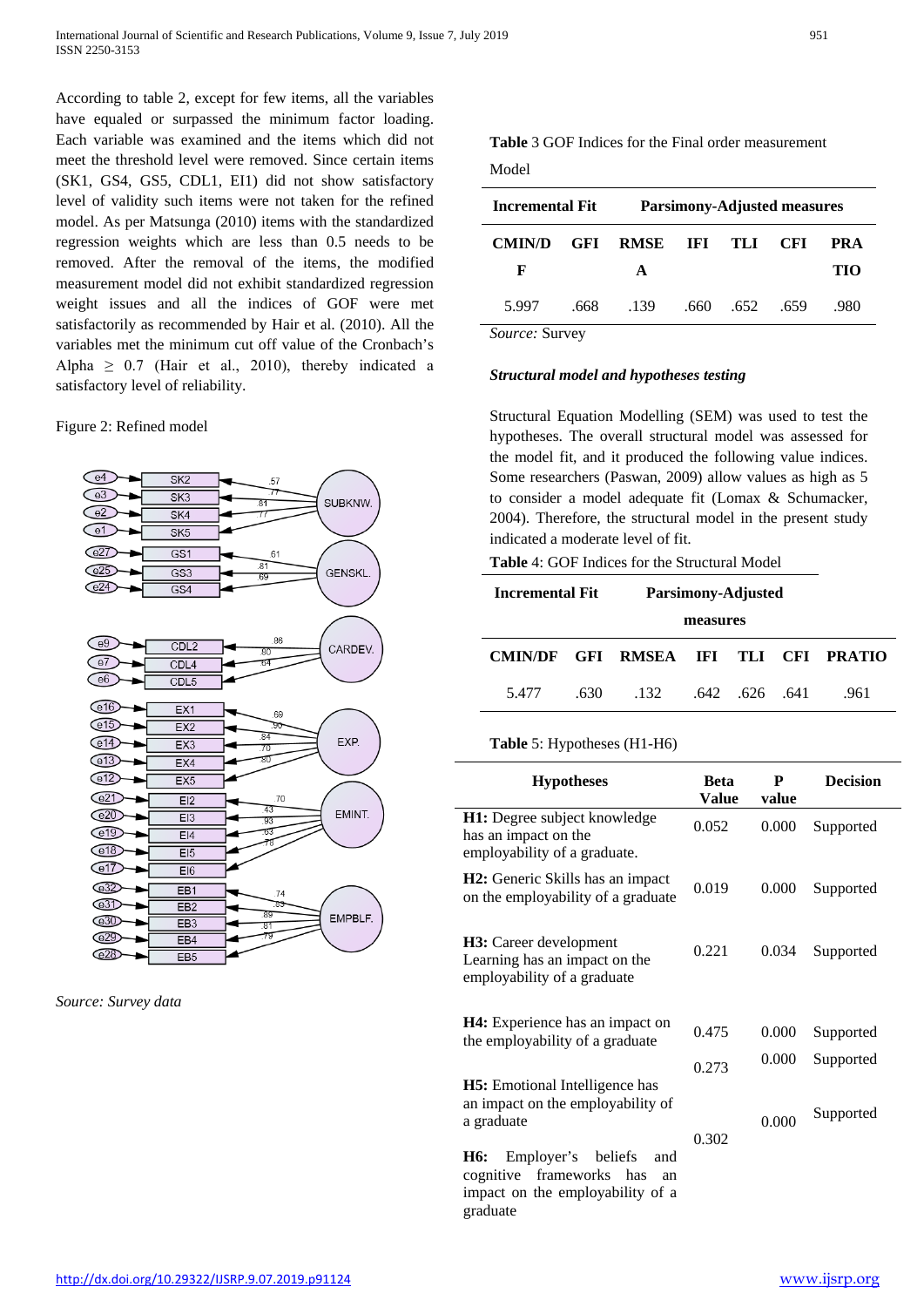According to table 2, except for few items, all the variables have equaled or surpassed the minimum factor loading. Each variable was examined and the items which did not meet the threshold level were removed. Since certain items (SK1, GS4, GS5, CDL1, EI1) did not show satisfactory level of validity such items were not taken for the refined model. As per Matsunga (2010) items with the standardized regression weights which are less than 0.5 needs to be removed. After the removal of the items, the modified measurement model did not exhibit standardized regression weight issues and all the indices of GOF were met satisfactorily as recommended by Hair et al. (2010). All the variables met the minimum cut off value of the Cronbach's Alpha  $\geq$  0.7 (Hair et al., 2010), thereby indicated a satisfactory level of reliability.

Figure 2: Refined model



*Source: Survey data*

**Table** 3 GOF Indices for the Final order measurement Model

| <b>Incremental Fit</b>                                              |            | <b>Parsimony-Adjusted measures</b> |         |      |            |      |
|---------------------------------------------------------------------|------------|------------------------------------|---------|------|------------|------|
| <b>CMIN/D</b>                                                       | <b>GFI</b> | RMSE                               | IFI TLI |      | <b>CFI</b> | PRA  |
| F                                                                   |            | A                                  |         |      |            | TIO  |
| 5.997                                                               | .668       | .139                               | .660    | .652 | .659       | .980 |
| $S_{\alpha\mu\nu\rho\sigma\sigma}$ . $S_{\mu\nu\sigma\sigma\sigma}$ |            |                                    |         |      |            |      |

*Source:* Survey

## *Structural model and hypotheses testing*

Structural Equation Modelling (SEM) was used to test the hypotheses. The overall structural model was assessed for the model fit, and it produced the following value indices. Some researchers (Paswan, 2009) allow values as high as 5 to consider a model adequate fit (Lomax & Schumacker, 2004). Therefore, the structural model in the present study indicated a moderate level of fit.

**Table** 4: GOF Indices for the Structural Model

| <b>Incremental Fit</b>               |      | Parsimony-Adjusted |  |              |  |     |
|--------------------------------------|------|--------------------|--|--------------|--|-----|
|                                      |      | measures           |  |              |  |     |
| CMIN/DF GFI RMSEA IFI TLI CFI PRATIO |      |                    |  |              |  |     |
| 5.477                                | .630 | .132               |  | .642.626.641 |  | 961 |

## **Table** 5: Hypotheses (H1-H6)

graduate

| <b>Hypotheses</b>                                                                                         | Beta<br>Value  | P<br>value     | <b>Decision</b>        |
|-----------------------------------------------------------------------------------------------------------|----------------|----------------|------------------------|
| <b>H1:</b> Degree subject knowledge<br>has an impact on the<br>employability of a graduate.               | 0.052          | 0.000          | Supported              |
| H <sub>2</sub> : Generic Skills has an impact<br>on the employability of a graduate                       | 0.019          | 0.000          | Supported              |
| H3: Career development<br>Learning has an impact on the<br>employability of a graduate                    | 0.221          | 0.034          | Supported              |
| <b>H4</b> : Experience has an impact on<br>the employability of a graduate                                | 0.475<br>0.273 | 0.000<br>0.000 | Supported<br>Supported |
| <b>H5</b> : Emotional Intelligence has<br>an impact on the employability of<br>a graduate                 | 0.302          | 0.000          | Supported              |
| Employer's beliefs<br>H6:<br>and<br>frameworks has<br>cognitive<br>an<br>impact on the employability of a |                |                |                        |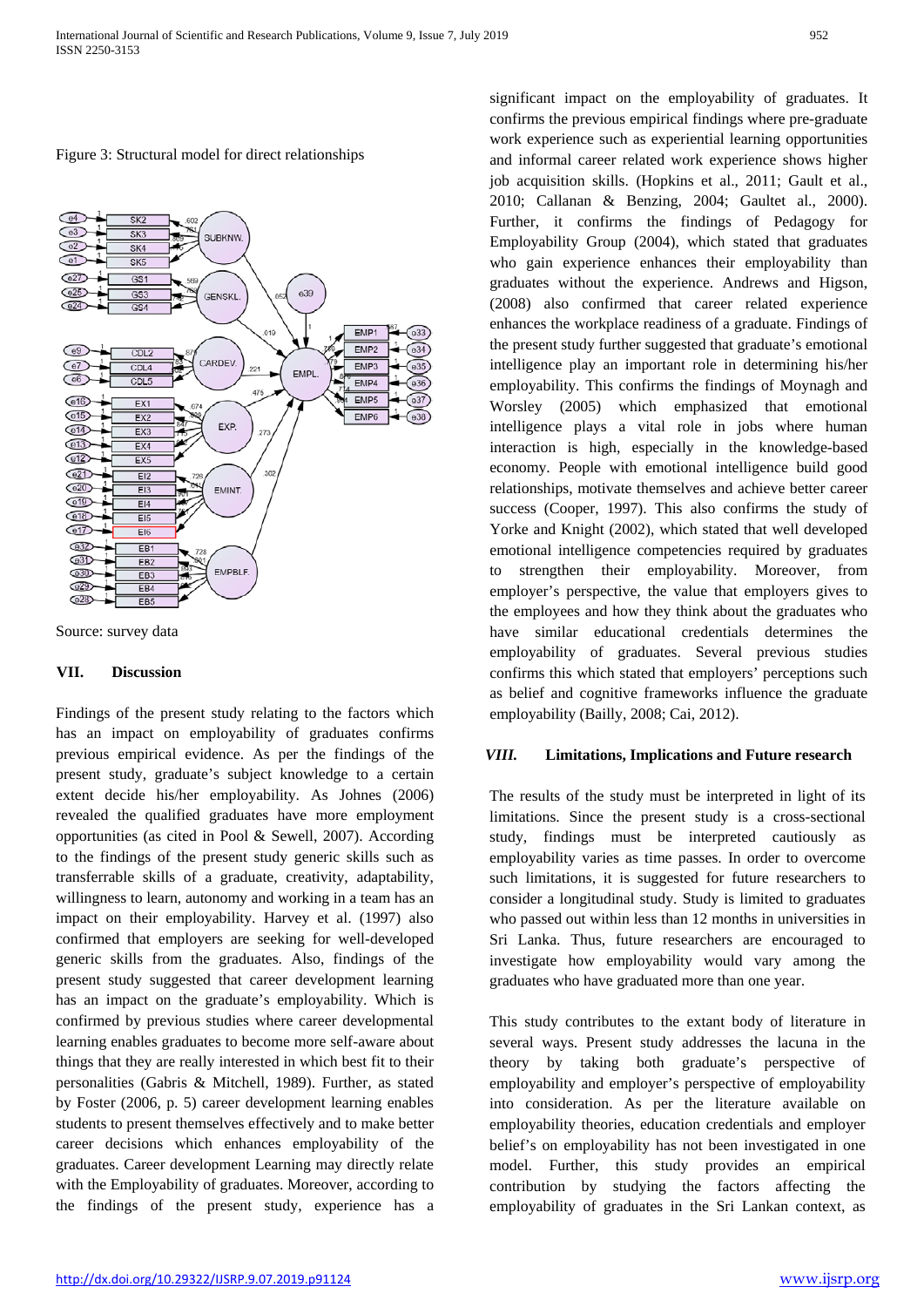Figure 3: Structural model for direct relationships





## **VII. Discussion**

Findings of the present study relating to the factors which has an impact on employability of graduates confirms previous empirical evidence. As per the findings of the present study, graduate's subject knowledge to a certain extent decide his/her employability. As Johnes (2006) revealed the qualified graduates have more employment opportunities (as cited in Pool & Sewell, 2007). According to the findings of the present study generic skills such as transferrable skills of a graduate, creativity, adaptability, willingness to learn, autonomy and working in a team has an impact on their employability. Harvey et al. (1997) also confirmed that employers are seeking for well-developed generic skills from the graduates. Also, findings of the present study suggested that career development learning has an impact on the graduate's employability. Which is confirmed by previous studies where career developmental learning enables graduates to become more self-aware about things that they are really interested in which best fit to their personalities (Gabris & Mitchell, 1989). Further, as stated by Foster (2006, p. 5) career development learning enables students to present themselves effectively and to make better career decisions which enhances employability of the graduates. Career development Learning may directly relate with the Employability of graduates. Moreover, according to the findings of the present study, experience has a

significant impact on the employability of graduates. It confirms the previous empirical findings where pre-graduate work experience such as experiential learning opportunities and informal career related work experience shows higher job acquisition skills. (Hopkins et al., 2011; Gault et al., 2010; Callanan & Benzing, 2004; Gaultet al., 2000). Further, it confirms the findings of Pedagogy for Employability Group (2004), which stated that graduates who gain experience enhances their employability than graduates without the experience. Andrews and Higson, (2008) also confirmed that career related experience enhances the workplace readiness of a graduate. Findings of the present study further suggested that graduate's emotional intelligence play an important role in determining his/her employability. This confirms the findings of Moynagh and Worsley (2005) which emphasized that emotional intelligence plays a vital role in jobs where human interaction is high, especially in the knowledge-based economy. People with emotional intelligence build good relationships, motivate themselves and achieve better career success (Cooper, 1997). This also confirms the study of Yorke and Knight (2002), which stated that well developed emotional intelligence competencies required by graduates to strengthen their employability. Moreover, from employer's perspective, the value that employers gives to the employees and how they think about the graduates who have similar educational credentials determines the employability of graduates. Several previous studies confirms this which stated that employers' perceptions such as belief and cognitive frameworks influence the graduate employability (Bailly, 2008; Cai, 2012).

## *VIII.* **Limitations, Implications and Future research**

The results of the study must be interpreted in light of its limitations. Since the present study is a cross-sectional study, findings must be interpreted cautiously as employability varies as time passes. In order to overcome such limitations, it is suggested for future researchers to consider a longitudinal study. Study is limited to graduates who passed out within less than 12 months in universities in Sri Lanka. Thus, future researchers are encouraged to investigate how employability would vary among the graduates who have graduated more than one year.

This study contributes to the extant body of literature in several ways. Present study addresses the lacuna in the theory by taking both graduate's perspective of employability and employer's perspective of employability into consideration. As per the literature available on employability theories, education credentials and employer belief's on employability has not been investigated in one model. Further, this study provides an empirical contribution by studying the factors affecting the employability of graduates in the Sri Lankan context, as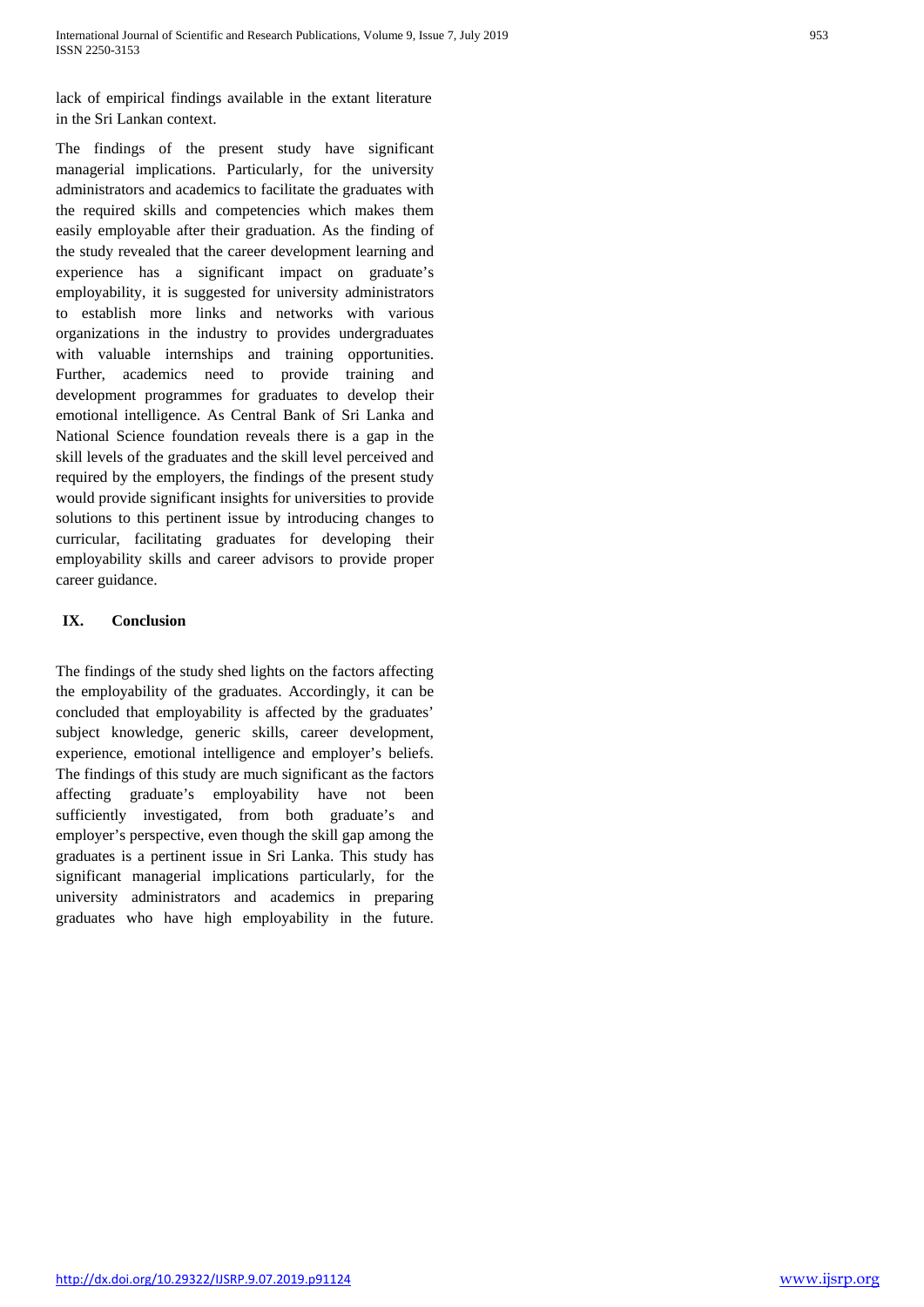lack of empirical findings available in the extant literature in the Sri Lankan context.

The findings of the present study have significant managerial implications. Particularly, for the university administrators and academics to facilitate the graduates with the required skills and competencies which makes them easily employable after their graduation. As the finding of the study revealed that the career development learning and experience has a significant impact on graduate's employability, it is suggested for university administrators to establish more links and networks with various organizations in the industry to provides undergraduates with valuable internships and training opportunities. Further, academics need to provide training and development programmes for graduates to develop their emotional intelligence. As Central Bank of Sri Lanka and National Science foundation reveals there is a gap in the skill levels of the graduates and the skill level perceived and required by the employers, the findings of the present study would provide significant insights for universities to provide solutions to this pertinent issue by introducing changes to curricular, facilitating graduates for developing their employability skills and career advisors to provide proper career guidance.

# **IX. Conclusion**

The findings of the study shed lights on the factors affecting the employability of the graduates. Accordingly, it can be concluded that employability is affected by the graduates' subject knowledge, generic skills, career development, experience, emotional intelligence and employer's beliefs. The findings of this study are much significant as the factors affecting graduate's employability have not been sufficiently investigated, from both graduate's and employer's perspective, even though the skill gap among the graduates is a pertinent issue in Sri Lanka. This study has significant managerial implications particularly, for the university administrators and academics in preparing graduates who have high employability in the future.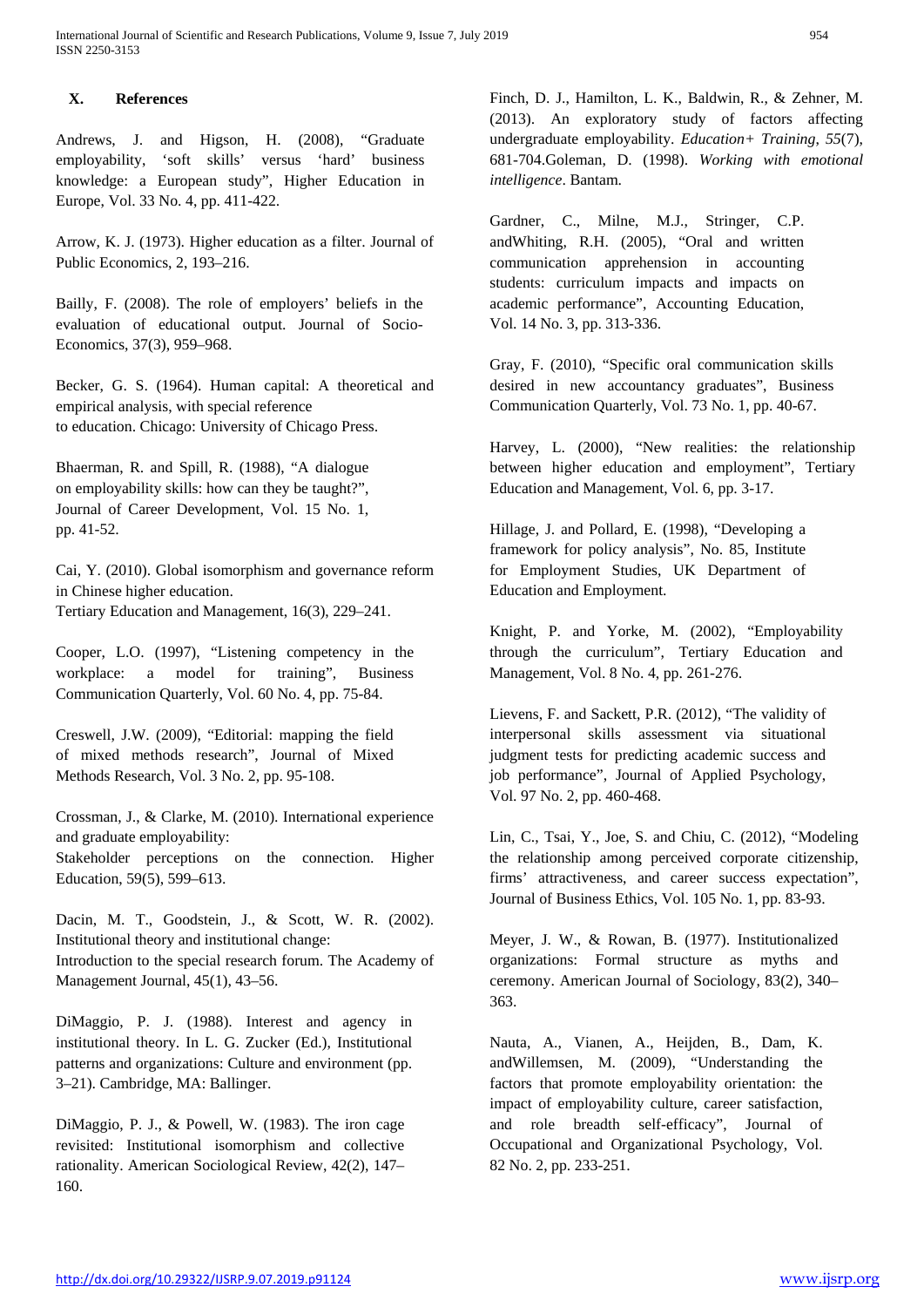# **X. References**

Andrews, J. and Higson, H. (2008), "Graduate employability, 'soft skills' versus 'hard' business knowledge: a European study", Higher Education in Europe, Vol. 33 No. 4, pp. 411-422.

Arrow, K. J. (1973). Higher education as a filter. Journal of Public Economics, 2, 193–216.

Bailly, F. (2008). The role of employers' beliefs in the evaluation of educational output. Journal of Socio-Economics, 37(3), 959–968.

Becker, G. S. (1964). Human capital: A theoretical and empirical analysis, with special reference to education. Chicago: University of Chicago Press.

Bhaerman, R. and Spill, R. (1988), "A dialogue on employability skills: how can they be taught?", Journal of Career Development, Vol. 15 No. 1, pp. 41-52.

Cai, Y. (2010). Global isomorphism and governance reform in Chinese higher education. Tertiary Education and Management, 16(3), 229–241.

Cooper, L.O. (1997), "Listening competency in the workplace: a model for training", Business Communication Quarterly, Vol. 60 No. 4, pp. 75-84.

Creswell, J.W. (2009), "Editorial: mapping the field of mixed methods research", Journal of Mixed Methods Research, Vol. 3 No. 2, pp. 95-108.

Crossman, J., & Clarke, M. (2010). International experience and graduate employability: Stakeholder perceptions on the connection. Higher Education, 59(5), 599–613.

Dacin, M. T., Goodstein, J., & Scott, W. R. (2002). Institutional theory and institutional change:

Introduction to the special research forum. The Academy of Management Journal, 45(1), 43–56.

DiMaggio, P. J. (1988). Interest and agency in institutional theory. In L. G. Zucker (Ed.), Institutional patterns and organizations: Culture and environment (pp. 3–21). Cambridge, MA: Ballinger.

DiMaggio, P. J., & Powell, W. (1983). The iron cage revisited: Institutional isomorphism and collective rationality. American Sociological Review, 42(2), 147– 160.

Finch, D. J., Hamilton, L. K., Baldwin, R., & Zehner, M. (2013). An exploratory study of factors affecting undergraduate employability. *Education+ Training*, *55*(7), 681-704.Goleman, D. (1998). *Working with emotional intelligence*. Bantam.

Gardner, C., Milne, M.J., Stringer, C.P. andWhiting, R.H. (2005), "Oral and written communication apprehension in accounting students: curriculum impacts and impacts on academic performance", Accounting Education, Vol. 14 No. 3, pp. 313-336.

Gray, F. (2010), "Specific oral communication skills desired in new accountancy graduates", Business Communication Quarterly, Vol. 73 No. 1, pp. 40-67.

Harvey, L. (2000), "New realities: the relationship between higher education and employment", Tertiary Education and Management, Vol. 6, pp. 3-17.

Hillage, J. and Pollard, E. (1998), "Developing a framework for policy analysis", No. 85, Institute for Employment Studies, UK Department of Education and Employment.

Knight, P. and Yorke, M. (2002), "Employability through the curriculum", Tertiary Education and Management, Vol. 8 No. 4, pp. 261-276.

Lievens, F. and Sackett, P.R. (2012), "The validity of interpersonal skills assessment via situational judgment tests for predicting academic success and job performance", Journal of Applied Psychology, Vol. 97 No. 2, pp. 460-468.

Lin, C., Tsai, Y., Joe, S. and Chiu, C. (2012), "Modeling the relationship among perceived corporate citizenship, firms' attractiveness, and career success expectation", Journal of Business Ethics, Vol. 105 No. 1, pp. 83-93.

Meyer, J. W., & Rowan, B. (1977). Institutionalized organizations: Formal structure as myths and ceremony. American Journal of Sociology, 83(2), 340– 363.

Nauta, A., Vianen, A., Heijden, B., Dam, K. andWillemsen, M. (2009), "Understanding the factors that promote employability orientation: the impact of employability culture, career satisfaction, and role breadth self-efficacy", Journal of Occupational and Organizational Psychology, Vol. 82 No. 2, pp. 233-251.